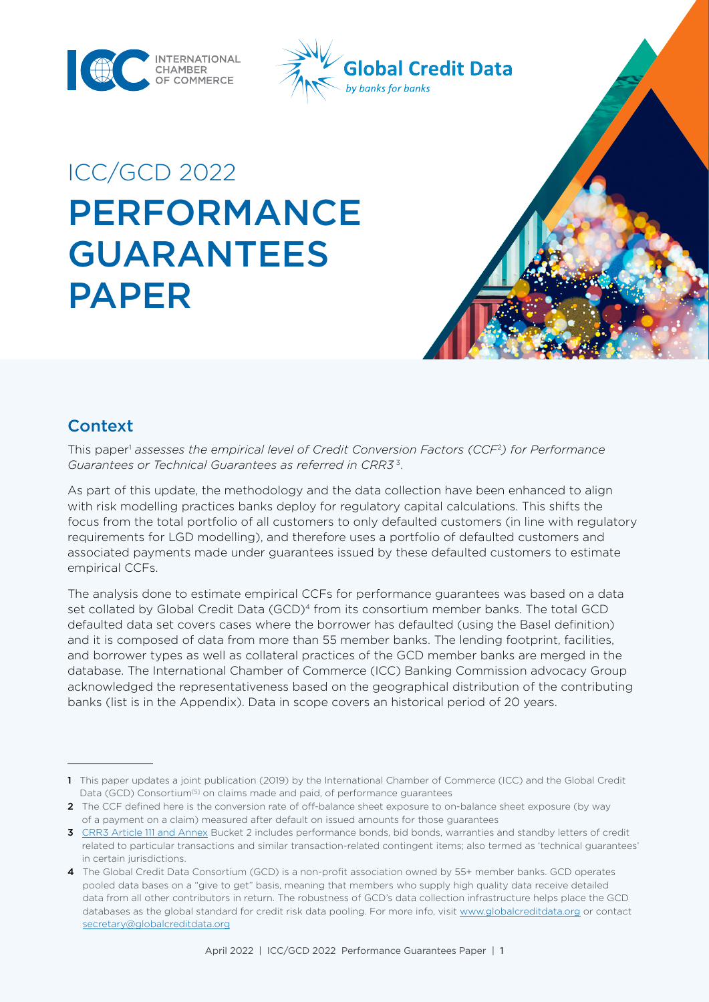



# ICC/GCD 2022 PERFORMANCE GUARANTEES PAPER

## **Context**

This paper<sup>1</sup> assesses the empirical level of Credit Conversion Factors (CCF<sup>2</sup>) for Performance *Guarantees or Technical Guarantees as referred in CRR3* 3.

As part of this update, the methodology and the data collection have been enhanced to align with risk modelling practices banks deploy for regulatory capital calculations. This shifts the focus from the total portfolio of all customers to only defaulted customers (in line with regulatory requirements for LGD modelling), and therefore uses a portfolio of defaulted customers and associated payments made under guarantees issued by these defaulted customers to estimate empirical CCFs.

The analysis done to estimate empirical CCFs for performance guarantees was based on a data set collated by Global Credit Data (GCD)<sup>4</sup> from its consortium member banks. The total GCD defaulted data set covers cases where the borrower has defaulted (using the Basel definition) and it is composed of data from more than 55 member banks. The lending footprint, facilities, and borrower types as well as collateral practices of the GCD member banks are merged in the database. The International Chamber of Commerce (ICC) Banking Commission advocacy Group acknowledged the representativeness based on the geographical distribution of the contributing banks (list is in the Appendix). Data in scope covers an historical period of 20 years.

<sup>1</sup> This paper updates a joint publication (2019) by the International Chamber of Commerce (ICC) and the Global Credit Data (GCD) Consortium<sup>[5]</sup> on claims made and paid, of performance guarantees

<sup>2</sup> The CCF defined here is the conversion rate of off-balance sheet exposure to on-balance sheet exposure (by way of a payment on a claim) measured after default on issued amounts for those guarantees

<sup>3</sup> [CRR3 Article 111 and Annex](https://eur-lex.europa.eu/legal-content/EN/TXT/?uri=CELEX:52021PC0664) Bucket 2 includes performance bonds, bid bonds, warranties and standby letters of credit related to particular transactions and similar transaction-related contingent items; also termed as 'technical guarantees' in certain jurisdictions.

<sup>4</sup> The Global Credit Data Consortium (GCD) is a non-profit association owned by 55+ member banks. GCD operates pooled data bases on a "give to get" basis, meaning that members who supply high quality data receive detailed data from all other contributors in return. The robustness of GCD's data collection infrastructure helps place the GCD databases as the global standard for credit risk data pooling. For more info, visit [www.globalcreditdata.org](http://www.globalcreditdata.org) or contact [secretary@globalcreditdata.org](mailto:secretary@globalcreditdata.org)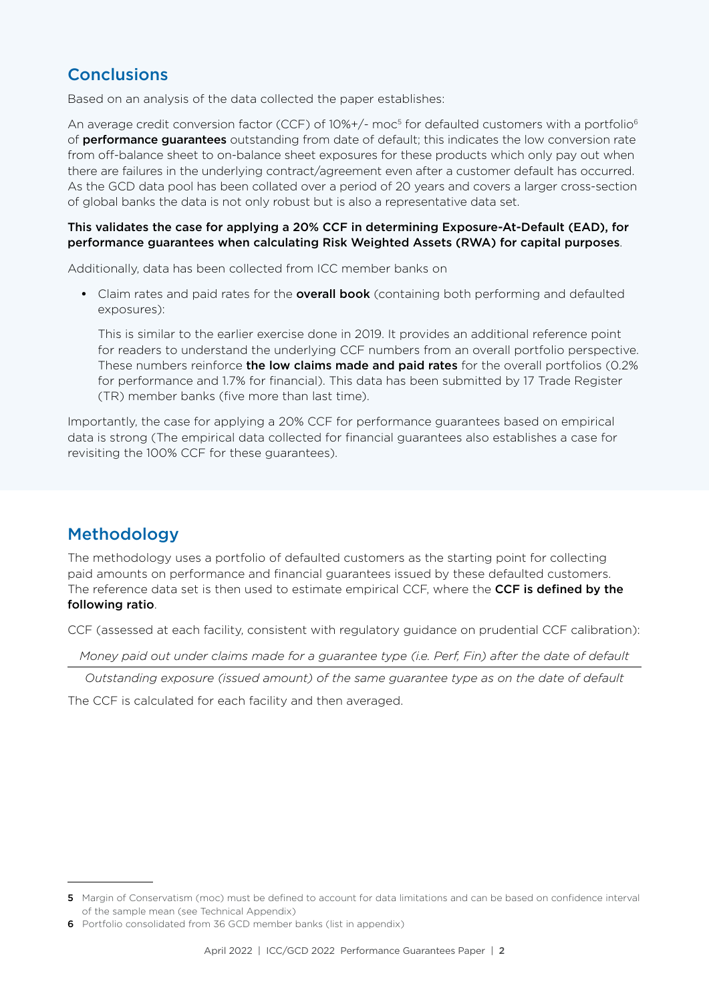## **Conclusions**

Based on an analysis of the data collected the paper establishes:

An average credit conversion factor (CCF) of 10%+/- moc<sup>5</sup> for defaulted customers with a portfolio<sup>6</sup> of **performance quarantees** outstanding from date of default; this indicates the low conversion rate from off-balance sheet to on-balance sheet exposures for these products which only pay out when there are failures in the underlying contract/agreement even after a customer default has occurred. As the GCD data pool has been collated over a period of 20 years and covers a larger cross-section of global banks the data is not only robust but is also a representative data set.

#### This validates the case for applying a 20% CCF in determining Exposure-At-Default (EAD), for performance guarantees when calculating Risk Weighted Assets (RWA) for capital purposes.

Additionally, data has been collected from ICC member banks on

• Claim rates and paid rates for the **overall book** (containing both performing and defaulted exposures):

This is similar to the earlier exercise done in 2019. It provides an additional reference point for readers to understand the underlying CCF numbers from an overall portfolio perspective. These numbers reinforce the low claims made and paid rates for the overall portfolios (0.2% for performance and 1.7% for financial). This data has been submitted by 17 Trade Register (TR) member banks (five more than last time).

Importantly, the case for applying a 20% CCF for performance guarantees based on empirical data is strong (The empirical data collected for financial guarantees also establishes a case for revisiting the 100% CCF for these guarantees).

## Methodology

The methodology uses a portfolio of defaulted customers as the starting point for collecting paid amounts on performance and financial guarantees issued by these defaulted customers. The reference data set is then used to estimate empirical CCF, where the CCF is defined by the following ratio.

CCF (assessed at each facility, consistent with regulatory guidance on prudential CCF calibration):

*Money paid out under claims made for a guarantee type (i.e. Perf, Fin) after the date of default*

*Outstanding exposure (issued amount) of the same guarantee type as on the date of default*

The CCF is calculated for each facility and then averaged.

<sup>5</sup> Margin of Conservatism (moc) must be defined to account for data limitations and can be based on confidence interval of the sample mean (see Technical Appendix)

<sup>6</sup> Portfolio consolidated from 36 GCD member banks (list in appendix)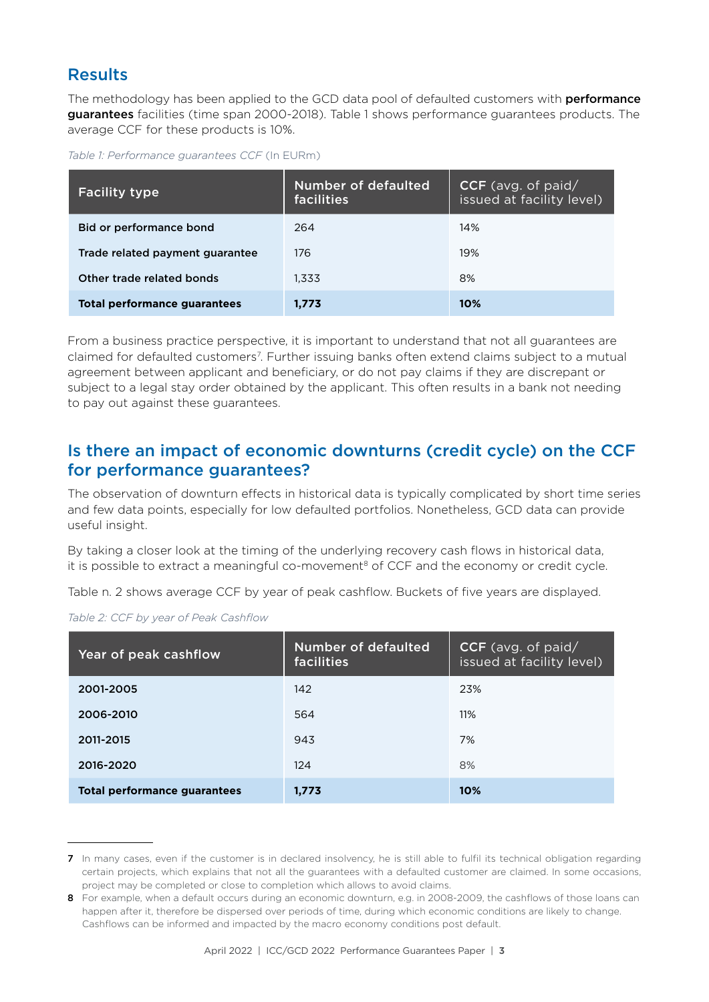#### Results

The methodology has been applied to the GCD data pool of defaulted customers with **performance** guarantees facilities (time span 2000-2018). Table 1 shows performance guarantees products. The average CCF for these products is 10%.

*Table 1: Performance guarantees CCF* (In EURm)

| <b>Facility type</b>                | <b>Number of defaulted</b><br>facilities | $CCF$ (avg. of paid/<br>issued at facility level) |  |  |
|-------------------------------------|------------------------------------------|---------------------------------------------------|--|--|
| Bid or performance bond             | 264                                      | 14%                                               |  |  |
| Trade related payment guarantee     | 176                                      | 19%                                               |  |  |
| Other trade related bonds           | 1.333                                    | 8%                                                |  |  |
| <b>Total performance guarantees</b> | 1.773                                    | 10%                                               |  |  |

From a business practice perspective, it is important to understand that not all guarantees are claimed for defaulted customers<sup>7</sup>. Further issuing banks often extend claims subject to a mutual agreement between applicant and beneficiary, or do not pay claims if they are discrepant or subject to a legal stay order obtained by the applicant. This often results in a bank not needing to pay out against these guarantees.

#### Is there an impact of economic downturns (credit cycle) on the CCF for performance guarantees?

The observation of downturn effects in historical data is typically complicated by short time series and few data points, especially for low defaulted portfolios. Nonetheless, GCD data can provide useful insight.

By taking a closer look at the timing of the underlying recovery cash flows in historical data, it is possible to extract a meaningful co-movement<sup>8</sup> of CCF and the economy or credit cycle.

Table n. 2 shows average CCF by year of peak cashflow. Buckets of five years are displayed.

| Year of peak cashflow        | Number of defaulted<br>facilities | $CCF$ (avg. of paid/<br>issued at facility level) |  |  |
|------------------------------|-----------------------------------|---------------------------------------------------|--|--|
| 2001-2005                    | 142                               | 23%                                               |  |  |
| 2006-2010                    | 564                               | 11%                                               |  |  |
| 2011-2015                    | 943                               | 7%                                                |  |  |
| 2016-2020                    | 124                               | 8%                                                |  |  |
| Total performance guarantees | 1,773                             | 10%                                               |  |  |

*Table 2: CCF by year of Peak Cashflow*

<sup>7</sup> In many cases, even if the customer is in declared insolvency, he is still able to fulfil its technical obligation regarding certain projects, which explains that not all the guarantees with a defaulted customer are claimed. In some occasions, project may be completed or close to completion which allows to avoid claims.

<sup>8</sup> For example, when a default occurs during an economic downturn, e.g. in 2008-2009, the cashflows of those loans can happen after it, therefore be dispersed over periods of time, during which economic conditions are likely to change. Cashflows can be informed and impacted by the macro economy conditions post default.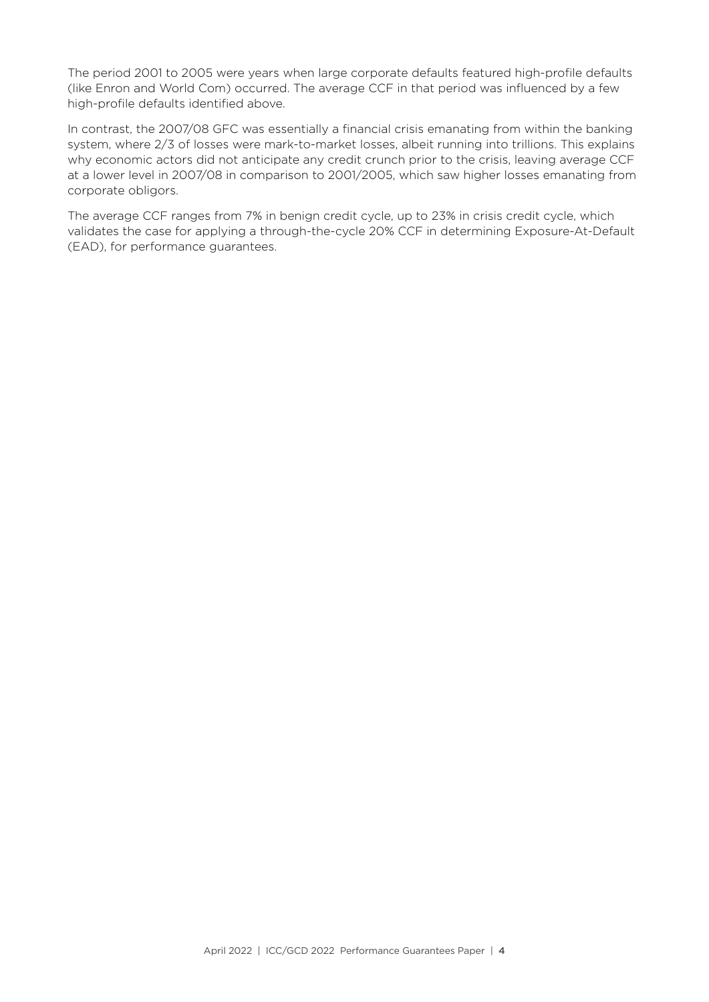The period 2001 to 2005 were years when large corporate defaults featured high-profile defaults (like Enron and World Com) occurred. The average CCF in that period was influenced by a few high-profile defaults identified above.

In contrast, the 2007/08 GFC was essentially a financial crisis emanating from within the banking system, where 2/3 of losses were mark-to-market losses, albeit running into trillions. This explains why economic actors did not anticipate any credit crunch prior to the crisis, leaving average CCF at a lower level in 2007/08 in comparison to 2001/2005, which saw higher losses emanating from corporate obligors.

The average CCF ranges from 7% in benign credit cycle, up to 23% in crisis credit cycle, which validates the case for applying a through-the-cycle 20% CCF in determining Exposure-At-Default (EAD), for performance guarantees.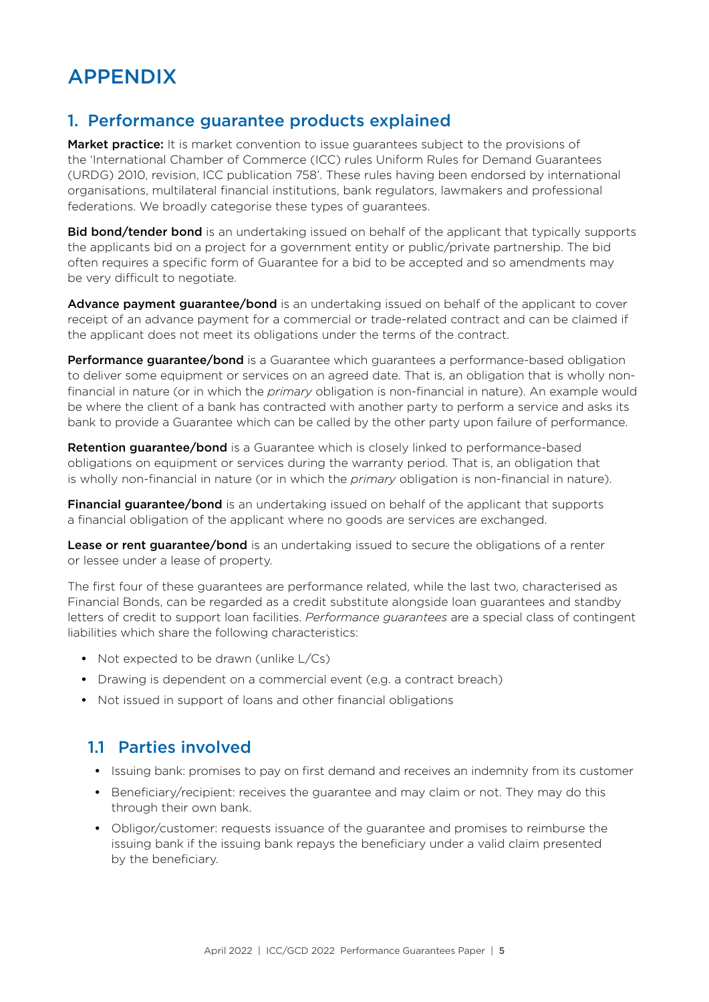## APPENDIX

## 1. Performance guarantee products explained

Market practice: It is market convention to issue quarantees subject to the provisions of the 'International Chamber of Commerce (ICC) rules Uniform Rules for Demand Guarantees (URDG) 2010, revision, ICC publication 758'. These rules having been endorsed by international organisations, multilateral financial institutions, bank regulators, lawmakers and professional federations. We broadly categorise these types of guarantees.

**Bid bond/tender bond** is an undertaking issued on behalf of the applicant that typically supports the applicants bid on a project for a government entity or public/private partnership. The bid often requires a specific form of Guarantee for a bid to be accepted and so amendments may be very difficult to negotiate.

Advance payment guarantee/bond is an undertaking issued on behalf of the applicant to cover receipt of an advance payment for a commercial or trade-related contract and can be claimed if the applicant does not meet its obligations under the terms of the contract.

**Performance guarantee/bond** is a Guarantee which guarantees a performance-based obligation to deliver some equipment or services on an agreed date. That is, an obligation that is wholly nonfinancial in nature (or in which the *primary* obligation is non-financial in nature). An example would be where the client of a bank has contracted with another party to perform a service and asks its bank to provide a Guarantee which can be called by the other party upon failure of performance.

Retention guarantee/bond is a Guarantee which is closely linked to performance-based obligations on equipment or services during the warranty period. That is, an obligation that is wholly non-financial in nature (or in which the *primary* obligation is non-financial in nature).

**Financial guarantee/bond** is an undertaking issued on behalf of the applicant that supports a financial obligation of the applicant where no goods are services are exchanged.

Lease or rent guarantee/bond is an undertaking issued to secure the obligations of a renter or lessee under a lease of property.

The first four of these guarantees are performance related, while the last two, characterised as Financial Bonds, can be regarded as a credit substitute alongside loan guarantees and standby letters of credit to support loan facilities. *Performance guarantees* are a special class of contingent liabilities which share the following characteristics:

- Not expected to be drawn (unlike L/Cs)
- **•** Drawing is dependent on a commercial event (e.g. a contract breach)
- **•** Not issued in support of loans and other financial obligations

#### 1.1 Parties involved

- **•** Issuing bank: promises to pay on first demand and receives an indemnity from its customer
- **•** Beneficiary/recipient: receives the guarantee and may claim or not. They may do this through their own bank.
- **•** Obligor/customer: requests issuance of the guarantee and promises to reimburse the issuing bank if the issuing bank repays the beneficiary under a valid claim presented by the beneficiary.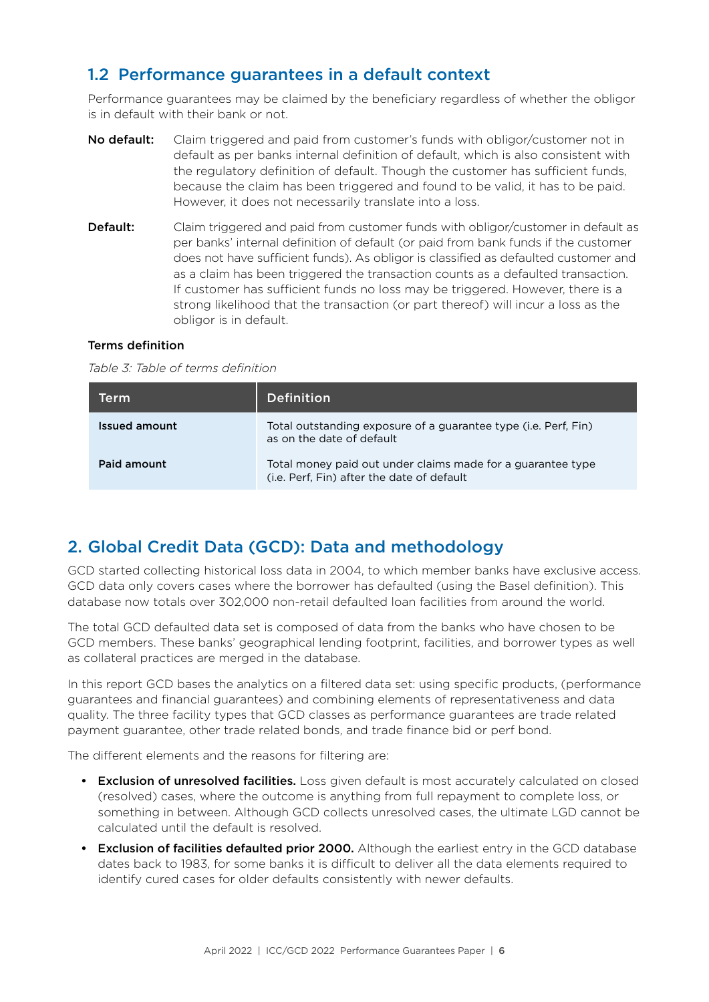## 1.2 Performance guarantees in a default context

Performance guarantees may be claimed by the beneficiary regardless of whether the obligor is in default with their bank or not.

- No default: Claim triggered and paid from customer's funds with obligor/customer not in default as per banks internal definition of default, which is also consistent with the regulatory definition of default. Though the customer has sufficient funds, because the claim has been triggered and found to be valid, it has to be paid. However, it does not necessarily translate into a loss.
- **Default:** Claim triggered and paid from customer funds with obligor/customer in default as per banks' internal definition of default (or paid from bank funds if the customer does not have sufficient funds). As obligor is classified as defaulted customer and as a claim has been triggered the transaction counts as a defaulted transaction. If customer has sufficient funds no loss may be triggered. However, there is a strong likelihood that the transaction (or part thereof) will incur a loss as the obligor is in default.

#### Terms definition

*Table 3: Table of terms definition*

| Term          | <b>Definition</b>                                                                                         |
|---------------|-----------------------------------------------------------------------------------------------------------|
| Issued amount | Total outstanding exposure of a guarantee type (i.e. Perf, Fin)<br>as on the date of default              |
| Paid amount   | Total money paid out under claims made for a guarantee type<br>(i.e. Perf, Fin) after the date of default |

## 2. Global Credit Data (GCD): Data and methodology

GCD started collecting historical loss data in 2004, to which member banks have exclusive access. GCD data only covers cases where the borrower has defaulted (using the Basel definition). This database now totals over 302,000 non-retail defaulted loan facilities from around the world.

The total GCD defaulted data set is composed of data from the banks who have chosen to be GCD members. These banks' geographical lending footprint, facilities, and borrower types as well as collateral practices are merged in the database.

In this report GCD bases the analytics on a filtered data set: using specific products, (performance guarantees and financial guarantees) and combining elements of representativeness and data quality. The three facility types that GCD classes as performance guarantees are trade related payment guarantee, other trade related bonds, and trade finance bid or perf bond.

The different elements and the reasons for filtering are:

- **Exclusion of unresolved facilities.** Loss given default is most accurately calculated on closed (resolved) cases, where the outcome is anything from full repayment to complete loss, or something in between. Although GCD collects unresolved cases, the ultimate LGD cannot be calculated until the default is resolved.
- Exclusion of facilities defaulted prior 2000. Although the earliest entry in the GCD database dates back to 1983, for some banks it is difficult to deliver all the data elements required to identify cured cases for older defaults consistently with newer defaults.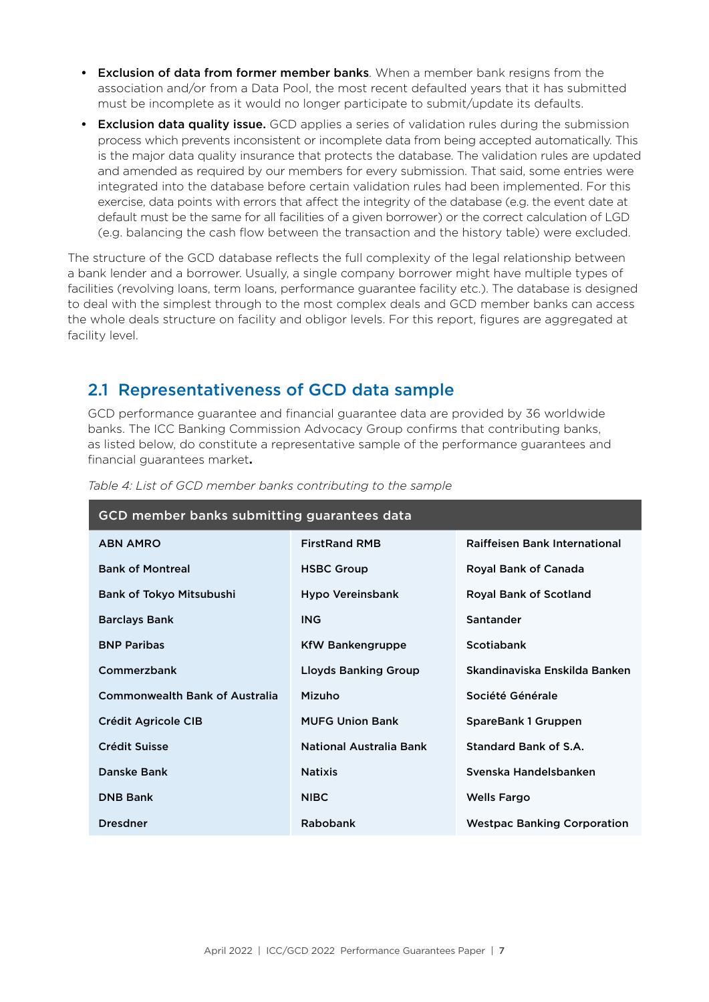- **•** Exclusion of data from former member banks. When a member bank resigns from the association and/or from a Data Pool, the most recent defaulted years that it has submitted must be incomplete as it would no longer participate to submit/update its defaults.
- **Exclusion data quality issue.** GCD applies a series of validation rules during the submission process which prevents inconsistent or incomplete data from being accepted automatically. This is the major data quality insurance that protects the database. The validation rules are updated and amended as required by our members for every submission. That said, some entries were integrated into the database before certain validation rules had been implemented. For this exercise, data points with errors that affect the integrity of the database (e.g. the event date at default must be the same for all facilities of a given borrower) or the correct calculation of LGD (e.g. balancing the cash flow between the transaction and the history table) were excluded.

The structure of the GCD database reflects the full complexity of the legal relationship between a bank lender and a borrower. Usually, a single company borrower might have multiple types of facilities (revolving loans, term loans, performance guarantee facility etc.). The database is designed to deal with the simplest through to the most complex deals and GCD member banks can access the whole deals structure on facility and obligor levels. For this report, figures are aggregated at facility level.

## 2.1 Representativeness of GCD data sample

GCD performance guarantee and financial guarantee data are provided by 36 worldwide banks. The ICC Banking Commission Advocacy Group confirms that contributing banks, as listed below, do constitute a representative sample of the performance guarantees and financial guarantees market**.**

| GCD member banks submitting guarantees data |                             |                                      |  |  |  |
|---------------------------------------------|-----------------------------|--------------------------------------|--|--|--|
| <b>ABN AMRO</b>                             | <b>FirstRand RMB</b>        | <b>Raiffeisen Bank International</b> |  |  |  |
| <b>Bank of Montreal</b>                     | <b>HSBC Group</b>           | Royal Bank of Canada                 |  |  |  |
| Bank of Tokyo Mitsubushi                    | Hypo Vereinsbank            | <b>Royal Bank of Scotland</b>        |  |  |  |
| <b>Barclays Bank</b>                        | <b>ING</b>                  | <b>Santander</b>                     |  |  |  |
| <b>BNP Paribas</b>                          | <b>KfW Bankengruppe</b>     | <b>Scotiabank</b>                    |  |  |  |
| Commerzbank                                 | <b>Lloyds Banking Group</b> | Skandinaviska Enskilda Banken        |  |  |  |
| <b>Commonwealth Bank of Australia</b>       | Mizuho                      | Société Générale                     |  |  |  |
| Crédit Agricole CIB                         | <b>MUFG Union Bank</b>      | SpareBank 1 Gruppen                  |  |  |  |
| Crédit Suisse                               | National Australia Bank     | Standard Bank of S.A.                |  |  |  |
| Danske Bank                                 | <b>Natixis</b>              | Svenska Handelsbanken                |  |  |  |
| <b>DNB Bank</b>                             | <b>NIBC</b>                 | <b>Wells Fargo</b>                   |  |  |  |
| <b>Dresdner</b>                             | <b>Rabobank</b>             | <b>Westpac Banking Corporation</b>   |  |  |  |

*Table 4: List of GCD member banks contributing to the sample*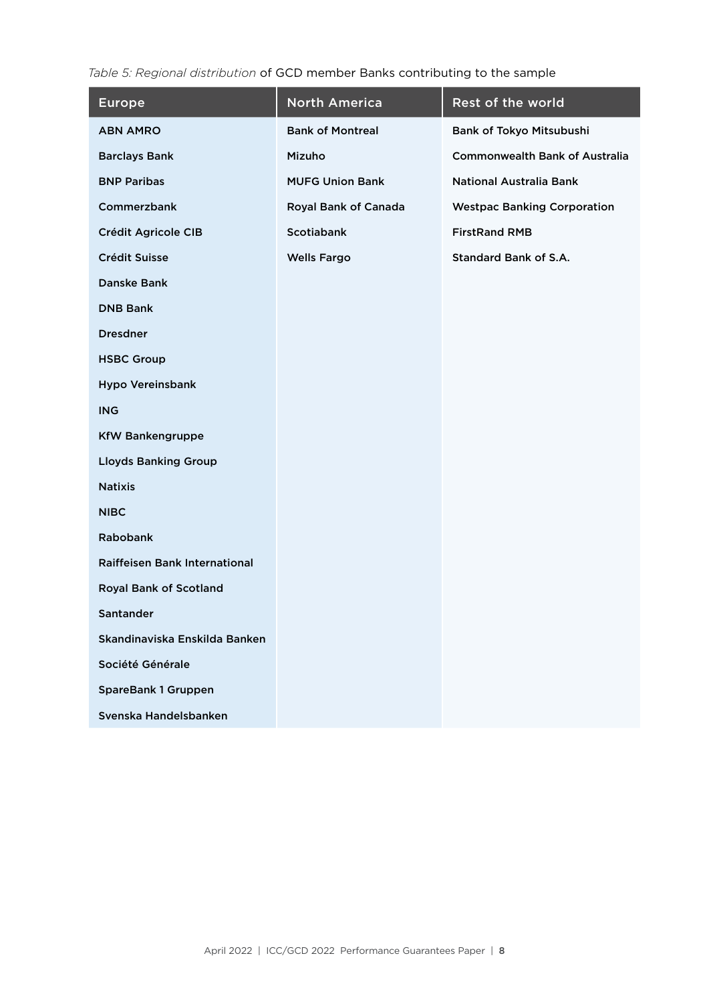*Table 5: Regional distribution* of GCD member Banks contributing to the sample

| <b>Europe</b>                 | <b>North America</b>    | Rest of the world                     |
|-------------------------------|-------------------------|---------------------------------------|
| <b>ABN AMRO</b>               | <b>Bank of Montreal</b> | Bank of Tokyo Mitsubushi              |
| <b>Barclays Bank</b>          | Mizuho                  | <b>Commonwealth Bank of Australia</b> |
| <b>BNP Paribas</b>            | <b>MUFG Union Bank</b>  | <b>National Australia Bank</b>        |
| Commerzbank                   | Royal Bank of Canada    | <b>Westpac Banking Corporation</b>    |
| Crédit Agricole CIB           | <b>Scotiabank</b>       | <b>FirstRand RMB</b>                  |
| Crédit Suisse                 | <b>Wells Fargo</b>      | <b>Standard Bank of S.A.</b>          |
| <b>Danske Bank</b>            |                         |                                       |
| <b>DNB Bank</b>               |                         |                                       |
| <b>Dresdner</b>               |                         |                                       |
| <b>HSBC Group</b>             |                         |                                       |
| <b>Hypo Vereinsbank</b>       |                         |                                       |
| <b>ING</b>                    |                         |                                       |
| <b>KfW Bankengruppe</b>       |                         |                                       |
| <b>Lloyds Banking Group</b>   |                         |                                       |
| <b>Natixis</b>                |                         |                                       |
| <b>NIBC</b>                   |                         |                                       |
| Rabobank                      |                         |                                       |
| Raiffeisen Bank International |                         |                                       |
| <b>Royal Bank of Scotland</b> |                         |                                       |
| Santander                     |                         |                                       |
| Skandinaviska Enskilda Banken |                         |                                       |
| Société Générale              |                         |                                       |
| <b>SpareBank 1 Gruppen</b>    |                         |                                       |
| Svenska Handelsbanken         |                         |                                       |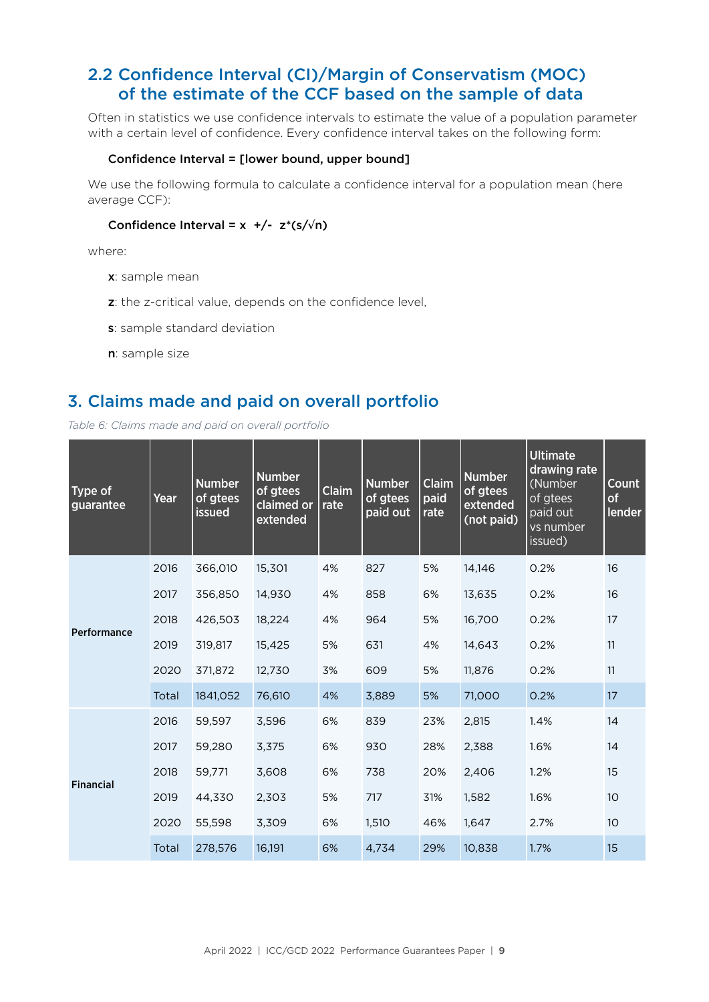## 2.2 Confidence Interval (CI)/Margin of Conservatism (MOC) of the estimate of the CCF based on the sample of data

Often in statistics we use confidence intervals to estimate the value of a population parameter with a certain level of confidence. Every confidence interval takes on the following form:

#### Confidence Interval = [lower bound, upper bound]

We use the following formula to calculate a confidence interval for a population mean (here average CCF):

#### Confidence Interval =  $x +/- z*(s/\sqrt{n})$

where:

- x: sample mean
- z: the z-critical value, depends on the confidence level,
- s: sample standard deviation
- n: sample size

#### 3. Claims made and paid on overall portfolio

*Table 6: Claims made and paid on overall portfolio*

| Type of<br>guarantee | Year  | <b>Number</b><br>of gtees<br><b>issued</b> | <b>Number</b><br>of gtees<br>claimed or<br>extended | <b>Claim</b><br>rate | <b>Number</b><br>of gtees<br>paid out | Claim<br>paid<br>rate | <b>Number</b><br>of gtees<br>extended<br>(not paid) | <b>Ultimate</b><br>drawing rate<br>(Number<br>of gtees<br>paid out<br>vs number<br>issued) | Count<br>of<br>lender |
|----------------------|-------|--------------------------------------------|-----------------------------------------------------|----------------------|---------------------------------------|-----------------------|-----------------------------------------------------|--------------------------------------------------------------------------------------------|-----------------------|
| Performance          | 2016  | 366,010                                    | 15,301                                              | 4%                   | 827                                   | 5%                    | 14,146                                              | 0.2%                                                                                       | 16                    |
|                      | 2017  | 356,850                                    | 14,930                                              | 4%                   | 858                                   | 6%                    | 13,635                                              | 0.2%                                                                                       | 16                    |
|                      | 2018  | 426,503                                    | 18,224                                              | 4%                   | 964                                   | 5%                    | 16,700                                              | 0.2%                                                                                       | 17                    |
|                      | 2019  | 319,817                                    | 15,425                                              | 5%                   | 631                                   | 4%                    | 14,643                                              | 0.2%                                                                                       | 11                    |
|                      | 2020  | 371,872                                    | 12,730                                              | 3%                   | 609                                   | 5%                    | 11,876                                              | 0.2%                                                                                       | 11                    |
|                      | Total | 1841,052                                   | 76,610                                              | 4%                   | 3,889                                 | 5%                    | 71,000                                              | 0.2%                                                                                       | 17                    |
| <b>Financial</b>     | 2016  | 59,597                                     | 3,596                                               | 6%                   | 839                                   | 23%                   | 2,815                                               | 1.4%                                                                                       | 14                    |
|                      | 2017  | 59,280                                     | 3,375                                               | 6%                   | 930                                   | 28%                   | 2,388                                               | 1.6%                                                                                       | 14                    |
|                      | 2018  | 59,771                                     | 3,608                                               | 6%                   | 738                                   | 20%                   | 2,406                                               | 1.2%                                                                                       | 15                    |
|                      | 2019  | 44,330                                     | 2,303                                               | 5%                   | 717                                   | 31%                   | 1,582                                               | 1.6%                                                                                       | 10                    |
|                      | 2020  | 55,598                                     | 3,309                                               | 6%                   | 1,510                                 | 46%                   | 1,647                                               | 2.7%                                                                                       | 10                    |
|                      | Total | 278,576                                    | 16,191                                              | 6%                   | 4,734                                 | 29%                   | 10,838                                              | 1.7%                                                                                       | 15                    |